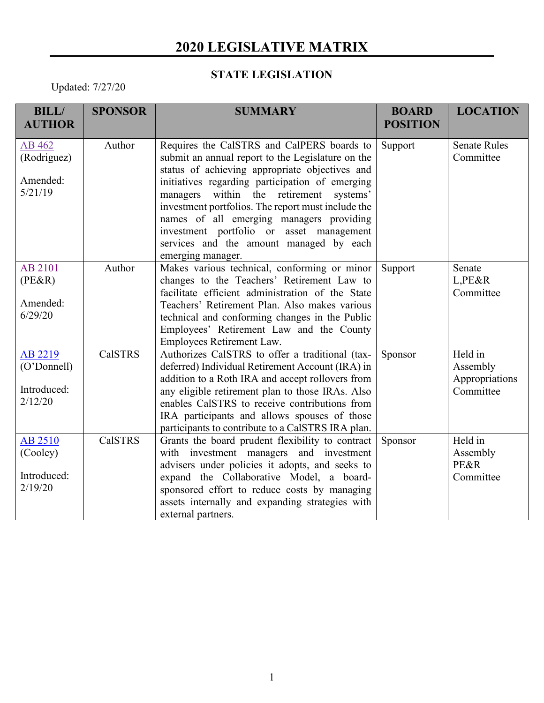## **2020 LEGISLATIVE MATRIX**

## **STATE LEGISLATION**

Updated: 7/27/20

| <b>BILL/</b>   | <b>SPONSOR</b> | <b>SUMMARY</b>                                                                           | <b>BOARD</b>    | <b>LOCATION</b>     |
|----------------|----------------|------------------------------------------------------------------------------------------|-----------------|---------------------|
| <b>AUTHOR</b>  |                |                                                                                          | <b>POSITION</b> |                     |
| AB 462         | Author         | Requires the CalSTRS and CalPERS boards to                                               | Support         | <b>Senate Rules</b> |
| (Rodriguez)    |                | submit an annual report to the Legislature on the                                        |                 | Committee           |
|                |                | status of achieving appropriate objectives and                                           |                 |                     |
| Amended:       |                | initiatives regarding participation of emerging                                          |                 |                     |
| 5/21/19        |                | within the retirement<br>systems'<br>managers                                            |                 |                     |
|                |                | investment portfolios. The report must include the                                       |                 |                     |
|                |                | names of all emerging managers providing                                                 |                 |                     |
|                |                | investment portfolio or asset management                                                 |                 |                     |
|                |                | services and the amount managed by each                                                  |                 |                     |
|                |                | emerging manager.                                                                        |                 |                     |
| AB 2101        | Author         | Makes various technical, conforming or minor                                             | Support         | Senate              |
| $(PE\&R)$      |                | changes to the Teachers' Retirement Law to                                               |                 | L,PE&R              |
|                |                | facilitate efficient administration of the State                                         |                 | Committee           |
| Amended:       |                | Teachers' Retirement Plan. Also makes various                                            |                 |                     |
| 6/29/20        |                | technical and conforming changes in the Public                                           |                 |                     |
|                |                | Employees' Retirement Law and the County                                                 |                 |                     |
|                |                | Employees Retirement Law.                                                                |                 |                     |
| AB 2219        | <b>CalSTRS</b> | Authorizes CalSTRS to offer a traditional (tax-                                          | Sponsor         | Held in             |
| (O'Donnell)    |                | deferred) Individual Retirement Account (IRA) in                                         |                 | Assembly            |
| Introduced:    |                | addition to a Roth IRA and accept rollovers from                                         |                 | Appropriations      |
| 2/12/20        |                | any eligible retirement plan to those IRAs. Also                                         |                 | Committee           |
|                |                | enables CalSTRS to receive contributions from                                            |                 |                     |
|                |                | IRA participants and allows spouses of those                                             |                 |                     |
|                |                | participants to contribute to a CalSTRS IRA plan.                                        |                 | Held in             |
| <b>AB 2510</b> | <b>CalSTRS</b> | Grants the board prudent flexibility to contract                                         | Sponsor         |                     |
| (Cooley)       |                | with investment managers and investment                                                  |                 | Assembly            |
| Introduced:    |                | advisers under policies it adopts, and seeks to                                          |                 | PE&R<br>Committee   |
| 2/19/20        |                | expand the Collaborative Model, a board-<br>sponsored effort to reduce costs by managing |                 |                     |
|                |                | assets internally and expanding strategies with                                          |                 |                     |
|                |                | external partners.                                                                       |                 |                     |
|                |                |                                                                                          |                 |                     |